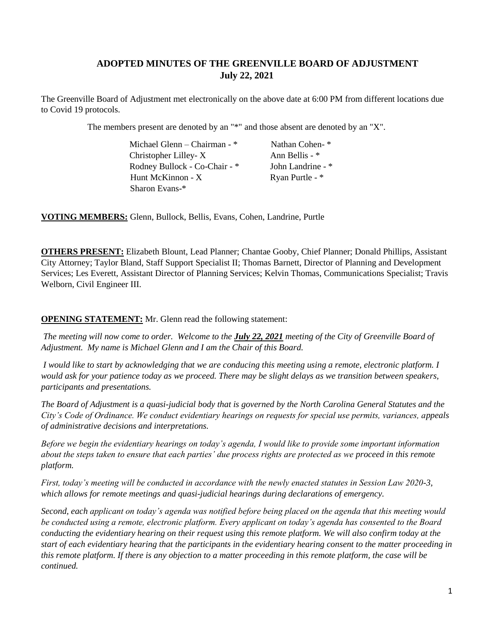# **ADOPTED MINUTES OF THE GREENVILLE BOARD OF ADJUSTMENT July 22, 2021**

The Greenville Board of Adjustment met electronically on the above date at 6:00 PM from different locations due to Covid 19 protocols.

The members present are denoted by an "\*" and those absent are denoted by an "X".

|  | Michael Glenn – Chairman - $*$ | Nathan Cohen-*    |
|--|--------------------------------|-------------------|
|  | Christopher Lilley-X           | Ann Bellis - *    |
|  | Rodney Bullock - Co-Chair - *  | John Landrine - * |
|  | Hunt McKinnon - X              | Ryan Purtle - *   |
|  | Sharon Evans-*                 |                   |

**VOTING MEMBERS:** Glenn, Bullock, Bellis, Evans, Cohen, Landrine, Purtle

**OTHERS PRESENT:** Elizabeth Blount, Lead Planner; Chantae Gooby, Chief Planner; Donald Phillips, Assistant City Attorney; Taylor Bland, Staff Support Specialist II; Thomas Barnett, Director of Planning and Development Services; Les Everett, Assistant Director of Planning Services; Kelvin Thomas, Communications Specialist; Travis Welborn, Civil Engineer III.

# **OPENING STATEMENT:** Mr. Glenn read the following statement:

*The meeting will now come to order. Welcome to the July 22, 2021 meeting of the City of Greenville Board of Adjustment. My name is Michael Glenn and I am the Chair of this Board.*

*I* would like to start by acknowledging that we are conducing this meeting using a remote, electronic platform. *I would ask for your patience today as we proceed. There may be slight delays as we transition between speakers, participants and presentations.*

*The Board of Adjustment is a quasi-judicial body that is governed by the North Carolina General Statutes and the City's Code of Ordinance. We conduct evidentiary hearings on requests for special use permits, variances, appeals of administrative decisions and interpretations.*

*Before we begin the evidentiary hearings on today's agenda, I would like to provide some important information about the steps taken to ensure that each parties' due process rights are protected as we proceed in this remote platform.*

*First, today's meeting will be conducted in accordance with the newly enacted statutes in Session Law 2020-3, which allows for remote meetings and quasi-judicial hearings during declarations of emergency.*

*Second, each applicant on today's agenda was notified before being placed on the agenda that this meeting would be conducted using a remote, electronic platform. Every applicant on today's agenda has consented to the Board conducting the evidentiary hearing on their request using this remote platform. We will also confirm today at the start of each evidentiary hearing that the participants in the evidentiary hearing consent to the matter proceeding in this remote platform. If there is any objection to a matter proceeding in this remote platform, the case will be continued.*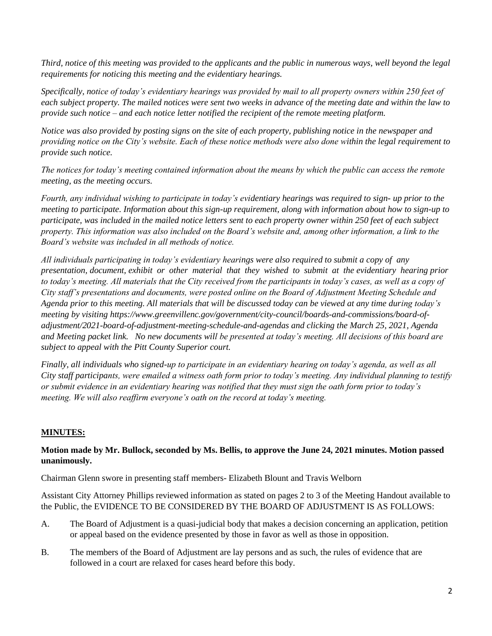*Third, notice of this meeting was provided to the applicants and the public in numerous ways, well beyond the legal requirements for noticing this meeting and the evidentiary hearings.*

*Specifically, notice of today's evidentiary hearings was provided by mail to all property owners within 250 feet of each subject property. The mailed notices were sent two weeks in advance of the meeting date and within the law to provide such notice – and each notice letter notified the recipient of the remote meeting platform.* 

*Notice was also provided by posting signs on the site of each property, publishing notice in the newspaper and providing notice on the City's website. Each of these notice methods were also done within the legal requirement to provide such notice.*

*The notices for today's meeting contained information about the means by which the public can access the remote meeting, as the meeting occurs.*

*Fourth, any individual wishing to participate in today's evidentiary hearings was required to sign- up prior to the meeting to participate. Information about this sign-up requirement, along with information about how to sign-up to participate, was included in the mailed notice letters sent to each property owner within 250 feet of each subject property. This information was also included on the Board's website and, among other information, a link to the Board's website was included in all methods of notice.* 

*All individuals participating in today's evidentiary hearings were also required to submit a copy of any presentation, document, exhibit or other material that they wished to submit at the evidentiary hearing prior to today's meeting. All materials that the City received from the participants in today's cases, as well as a copy of City staff's presentations and documents, were posted online on the Board of Adjustment Meeting Schedule and Agenda prior to this meeting. All materials that will be discussed today can be viewed at any time during today's meeting by visiting https://www.greenvillenc.gov/government/city-council/boards-and-commissions/board-ofadjustment/2021-board-of-adjustment-meeting-schedule-and-agendas and clicking the March 25, 2021, Agenda and Meeting packet link. No new documents will be presented at today's meeting. All decisions of this board are subject to appeal with the Pitt County Superior court.*

*Finally, all individuals who signed-up to participate in an evidentiary hearing on today's agenda, as well as all City staff participants, were emailed a witness oath form prior to today's meeting. Any individual planning to testify or submit evidence in an evidentiary hearing was notified that they must sign the oath form prior to today's meeting. We will also reaffirm everyone's oath on the record at today's meeting.*

# **MINUTES:**

# **Motion made by Mr. Bullock, seconded by Ms. Bellis, to approve the June 24, 2021 minutes. Motion passed unanimously.**

Chairman Glenn swore in presenting staff members- Elizabeth Blount and Travis Welborn

Assistant City Attorney Phillips reviewed information as stated on pages 2 to 3 of the Meeting Handout available to the Public, the EVIDENCE TO BE CONSIDERED BY THE BOARD OF ADJUSTMENT IS AS FOLLOWS:

- A. The Board of Adjustment is a quasi-judicial body that makes a decision concerning an application, petition or appeal based on the evidence presented by those in favor as well as those in opposition.
- B. The members of the Board of Adjustment are lay persons and as such, the rules of evidence that are followed in a court are relaxed for cases heard before this body.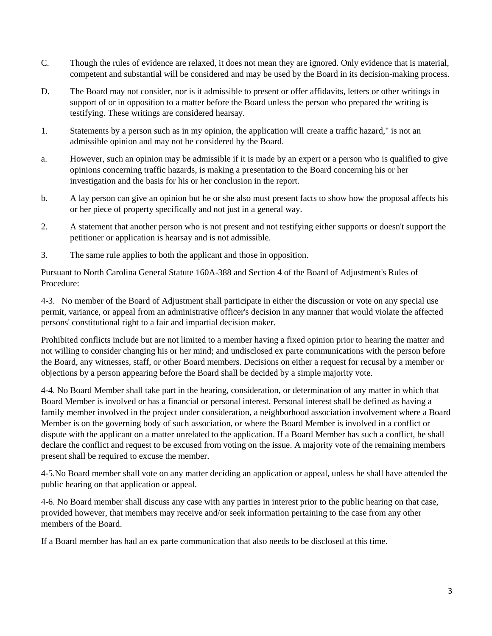- C. Though the rules of evidence are relaxed, it does not mean they are ignored. Only evidence that is material, competent and substantial will be considered and may be used by the Board in its decision-making process.
- D. The Board may not consider, nor is it admissible to present or offer affidavits, letters or other writings in support of or in opposition to a matter before the Board unless the person who prepared the writing is testifying. These writings are considered hearsay.
- 1. Statements by a person such as in my opinion, the application will create a traffic hazard," is not an admissible opinion and may not be considered by the Board.
- a. However, such an opinion may be admissible if it is made by an expert or a person who is qualified to give opinions concerning traffic hazards, is making a presentation to the Board concerning his or her investigation and the basis for his or her conclusion in the report.
- b. A lay person can give an opinion but he or she also must present facts to show how the proposal affects his or her piece of property specifically and not just in a general way.
- 2. A statement that another person who is not present and not testifying either supports or doesn't support the petitioner or application is hearsay and is not admissible.
- 3. The same rule applies to both the applicant and those in opposition.

Pursuant to North Carolina General Statute 160A-388 and Section 4 of the Board of Adjustment's Rules of Procedure:

4-3. No member of the Board of Adjustment shall participate in either the discussion or vote on any special use permit, variance, or appeal from an administrative officer's decision in any manner that would violate the affected persons' constitutional right to a fair and impartial decision maker.

Prohibited conflicts include but are not limited to a member having a fixed opinion prior to hearing the matter and not willing to consider changing his or her mind; and undisclosed ex parte communications with the person before the Board, any witnesses, staff, or other Board members. Decisions on either a request for recusal by a member or objections by a person appearing before the Board shall be decided by a simple majority vote.

4-4. No Board Member shall take part in the hearing, consideration, or determination of any matter in which that Board Member is involved or has a financial or personal interest. Personal interest shall be defined as having a family member involved in the project under consideration, a neighborhood association involvement where a Board Member is on the governing body of such association, or where the Board Member is involved in a conflict or dispute with the applicant on a matter unrelated to the application. If a Board Member has such a conflict, he shall declare the conflict and request to be excused from voting on the issue. A majority vote of the remaining members present shall be required to excuse the member.

4-5.No Board member shall vote on any matter deciding an application or appeal, unless he shall have attended the public hearing on that application or appeal.

4-6. No Board member shall discuss any case with any parties in interest prior to the public hearing on that case, provided however, that members may receive and/or seek information pertaining to the case from any other members of the Board.

If a Board member has had an ex parte communication that also needs to be disclosed at this time.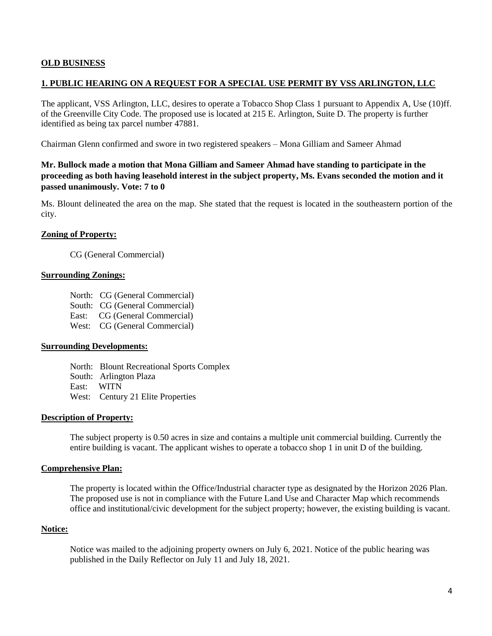### **OLD BUSINESS**

### **1. PUBLIC HEARING ON A REQUEST FOR A SPECIAL USE PERMIT BY VSS ARLINGTON, LLC**

The applicant, VSS Arlington, LLC, desires to operate a Tobacco Shop Class 1 pursuant to Appendix A, Use (10)ff. of the Greenville City Code. The proposed use is located at 215 E. Arlington, Suite D. The property is further identified as being tax parcel number 47881.

Chairman Glenn confirmed and swore in two registered speakers – Mona Gilliam and Sameer Ahmad

# **Mr. Bullock made a motion that Mona Gilliam and Sameer Ahmad have standing to participate in the proceeding as both having leasehold interest in the subject property, Ms. Evans seconded the motion and it passed unanimously. Vote: 7 to 0**

Ms. Blount delineated the area on the map. She stated that the request is located in the southeastern portion of the city.

#### **Zoning of Property:**

CG (General Commercial)

#### **Surrounding Zonings:**

- North: CG (General Commercial)
- South: CG (General Commercial)
- East: CG (General Commercial)
- West: CG (General Commercial)

### **Surrounding Developments:**

North: Blount Recreational Sports Complex South: Arlington Plaza East: WITN West: Century 21 Elite Properties

#### **Description of Property:**

The subject property is 0.50 acres in size and contains a multiple unit commercial building. Currently the entire building is vacant. The applicant wishes to operate a tobacco shop 1 in unit D of the building.

#### **Comprehensive Plan:**

The property is located within the Office/Industrial character type as designated by the Horizon 2026 Plan. The proposed use is not in compliance with the Future Land Use and Character Map which recommends office and institutional/civic development for the subject property; however, the existing building is vacant.

#### **Notice:**

Notice was mailed to the adjoining property owners on July 6, 2021. Notice of the public hearing was published in the Daily Reflector on July 11 and July 18, 2021.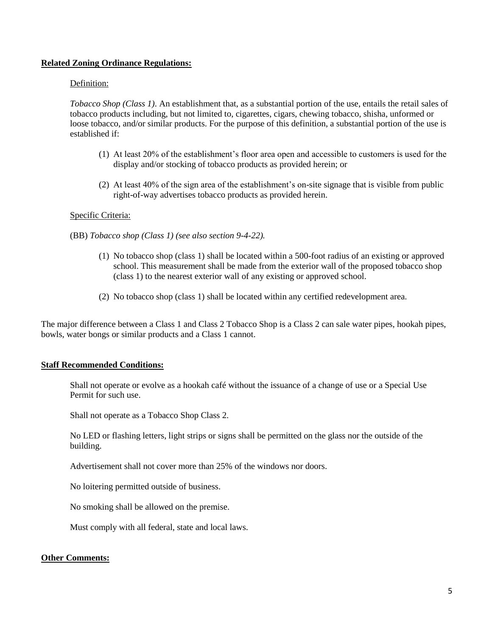### **Related Zoning Ordinance Regulations:**

### Definition:

*Tobacco Shop (Class 1)*. An establishment that, as a substantial portion of the use, entails the retail sales of tobacco products including, but not limited to, cigarettes, cigars, chewing tobacco, shisha, unformed or loose tobacco, and/or similar products. For the purpose of this definition, a substantial portion of the use is established if:

- (1) At least 20% of the establishment's floor area open and accessible to customers is used for the display and/or stocking of tobacco products as provided herein; or
- (2) At least 40% of the sign area of the establishment's on-site signage that is visible from public right-of-way advertises tobacco products as provided herein.

#### Specific Criteria:

(BB) *Tobacco shop (Class 1) (see also section 9-4-22).*

- (1) No tobacco shop (class 1) shall be located within a 500-foot radius of an existing or approved school. This measurement shall be made from the exterior wall of the proposed tobacco shop (class 1) to the nearest exterior wall of any existing or approved school.
- (2) No tobacco shop (class 1) shall be located within any certified redevelopment area.

The major difference between a Class 1 and Class 2 Tobacco Shop is a Class 2 can sale water pipes, hookah pipes, bowls, water bongs or similar products and a Class 1 cannot.

#### **Staff Recommended Conditions:**

Shall not operate or evolve as a hookah café without the issuance of a change of use or a Special Use Permit for such use.

Shall not operate as a Tobacco Shop Class 2.

No LED or flashing letters, light strips or signs shall be permitted on the glass nor the outside of the building.

Advertisement shall not cover more than 25% of the windows nor doors.

No loitering permitted outside of business.

No smoking shall be allowed on the premise.

Must comply with all federal, state and local laws.

#### **Other Comments:**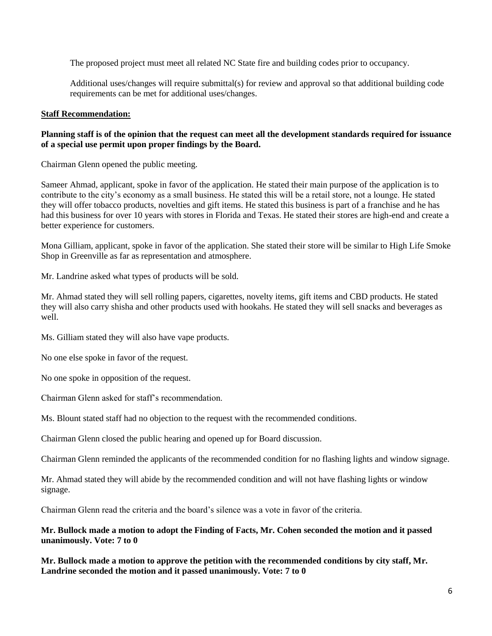The proposed project must meet all related NC State fire and building codes prior to occupancy.

Additional uses/changes will require submittal(s) for review and approval so that additional building code requirements can be met for additional uses/changes.

## **Staff Recommendation:**

# **Planning staff is of the opinion that the request can meet all the development standards required for issuance of a special use permit upon proper findings by the Board.**

Chairman Glenn opened the public meeting.

Sameer Ahmad, applicant, spoke in favor of the application. He stated their main purpose of the application is to contribute to the city's economy as a small business. He stated this will be a retail store, not a lounge. He stated they will offer tobacco products, novelties and gift items. He stated this business is part of a franchise and he has had this business for over 10 years with stores in Florida and Texas. He stated their stores are high-end and create a better experience for customers.

Mona Gilliam, applicant, spoke in favor of the application. She stated their store will be similar to High Life Smoke Shop in Greenville as far as representation and atmosphere.

Mr. Landrine asked what types of products will be sold.

Mr. Ahmad stated they will sell rolling papers, cigarettes, novelty items, gift items and CBD products. He stated they will also carry shisha and other products used with hookahs. He stated they will sell snacks and beverages as well.

Ms. Gilliam stated they will also have vape products.

No one else spoke in favor of the request.

No one spoke in opposition of the request.

Chairman Glenn asked for staff's recommendation.

Ms. Blount stated staff had no objection to the request with the recommended conditions.

Chairman Glenn closed the public hearing and opened up for Board discussion.

Chairman Glenn reminded the applicants of the recommended condition for no flashing lights and window signage.

Mr. Ahmad stated they will abide by the recommended condition and will not have flashing lights or window signage.

Chairman Glenn read the criteria and the board's silence was a vote in favor of the criteria.

# **Mr. Bullock made a motion to adopt the Finding of Facts, Mr. Cohen seconded the motion and it passed unanimously. Vote: 7 to 0**

**Mr. Bullock made a motion to approve the petition with the recommended conditions by city staff, Mr. Landrine seconded the motion and it passed unanimously. Vote: 7 to 0**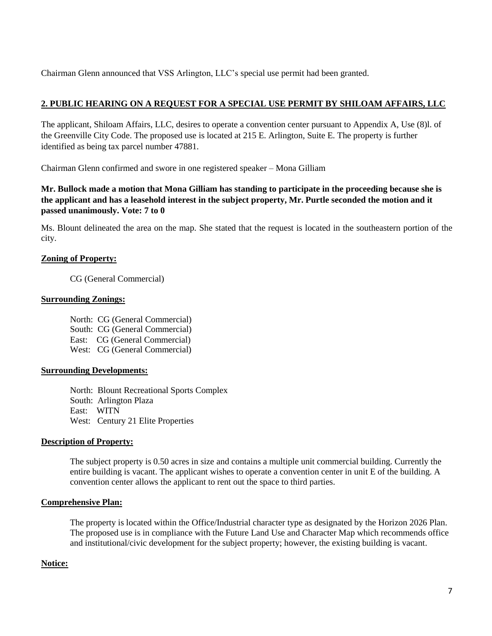Chairman Glenn announced that VSS Arlington, LLC's special use permit had been granted.

# **2. PUBLIC HEARING ON A REQUEST FOR A SPECIAL USE PERMIT BY SHILOAM AFFAIRS, LLC**

The applicant, Shiloam Affairs, LLC, desires to operate a convention center pursuant to Appendix A, Use (8)l. of the Greenville City Code. The proposed use is located at 215 E. Arlington, Suite E. The property is further identified as being tax parcel number 47881.

Chairman Glenn confirmed and swore in one registered speaker – Mona Gilliam

# **Mr. Bullock made a motion that Mona Gilliam has standing to participate in the proceeding because she is the applicant and has a leasehold interest in the subject property, Mr. Purtle seconded the motion and it passed unanimously. Vote: 7 to 0**

Ms. Blount delineated the area on the map. She stated that the request is located in the southeastern portion of the city.

# **Zoning of Property:**

CG (General Commercial)

### **Surrounding Zonings:**

North: CG (General Commercial) South: CG (General Commercial) East: CG (General Commercial) West: CG (General Commercial)

### **Surrounding Developments:**

North: Blount Recreational Sports Complex South: Arlington Plaza East: WITN West: Century 21 Elite Properties

### **Description of Property:**

The subject property is 0.50 acres in size and contains a multiple unit commercial building. Currently the entire building is vacant. The applicant wishes to operate a convention center in unit E of the building. A convention center allows the applicant to rent out the space to third parties.

### **Comprehensive Plan:**

The property is located within the Office/Industrial character type as designated by the Horizon 2026 Plan. The proposed use is in compliance with the Future Land Use and Character Map which recommends office and institutional/civic development for the subject property; however, the existing building is vacant.

# **Notice:**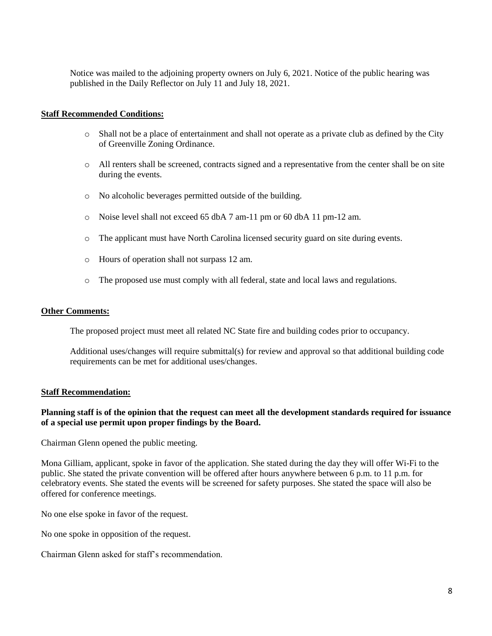Notice was mailed to the adjoining property owners on July 6, 2021. Notice of the public hearing was published in the Daily Reflector on July 11 and July 18, 2021.

#### **Staff Recommended Conditions:**

- $\circ$  Shall not be a place of entertainment and shall not operate as a private club as defined by the City of Greenville Zoning Ordinance.
- o All renters shall be screened, contracts signed and a representative from the center shall be on site during the events.
- o No alcoholic beverages permitted outside of the building.
- o Noise level shall not exceed 65 dbA 7 am-11 pm or 60 dbA 11 pm-12 am.
- o The applicant must have North Carolina licensed security guard on site during events.
- o Hours of operation shall not surpass 12 am.
- o The proposed use must comply with all federal, state and local laws and regulations.

#### **Other Comments:**

The proposed project must meet all related NC State fire and building codes prior to occupancy.

Additional uses/changes will require submittal(s) for review and approval so that additional building code requirements can be met for additional uses/changes.

#### **Staff Recommendation:**

### **Planning staff is of the opinion that the request can meet all the development standards required for issuance of a special use permit upon proper findings by the Board.**

Chairman Glenn opened the public meeting.

Mona Gilliam, applicant, spoke in favor of the application. She stated during the day they will offer Wi-Fi to the public. She stated the private convention will be offered after hours anywhere between 6 p.m. to 11 p.m. for celebratory events. She stated the events will be screened for safety purposes. She stated the space will also be offered for conference meetings.

No one else spoke in favor of the request.

No one spoke in opposition of the request.

Chairman Glenn asked for staff's recommendation.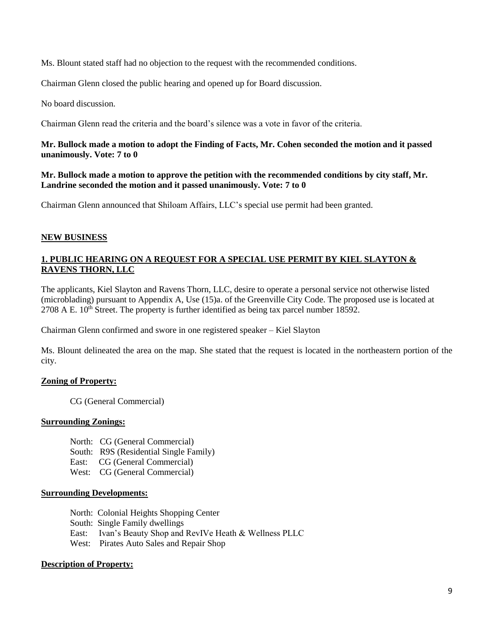Ms. Blount stated staff had no objection to the request with the recommended conditions.

Chairman Glenn closed the public hearing and opened up for Board discussion.

No board discussion.

Chairman Glenn read the criteria and the board's silence was a vote in favor of the criteria.

### **Mr. Bullock made a motion to adopt the Finding of Facts, Mr. Cohen seconded the motion and it passed unanimously. Vote: 7 to 0**

**Mr. Bullock made a motion to approve the petition with the recommended conditions by city staff, Mr. Landrine seconded the motion and it passed unanimously. Vote: 7 to 0**

Chairman Glenn announced that Shiloam Affairs, LLC's special use permit had been granted.

### **NEW BUSINESS**

# **1. PUBLIC HEARING ON A REQUEST FOR A SPECIAL USE PERMIT BY KIEL SLAYTON & RAVENS THORN, LLC**

The applicants, Kiel Slayton and Ravens Thorn, LLC, desire to operate a personal service not otherwise listed (microblading) pursuant to Appendix A, Use (15)a. of the Greenville City Code. The proposed use is located at  $2708$  A E.  $10^{th}$  Street. The property is further identified as being tax parcel number  $18592$ .

Chairman Glenn confirmed and swore in one registered speaker – Kiel Slayton

Ms. Blount delineated the area on the map. She stated that the request is located in the northeastern portion of the city.

# **Zoning of Property:**

CG (General Commercial)

### **Surrounding Zonings:**

- North: CG (General Commercial)
- South: R9S (Residential Single Family)
- East: CG (General Commercial)
- West: CG (General Commercial)

### **Surrounding Developments:**

- North: Colonial Heights Shopping Center
- South: Single Family dwellings
- East: Ivan's Beauty Shop and RevIVe Heath & Wellness PLLC
- West: Pirates Auto Sales and Repair Shop

# **Description of Property:**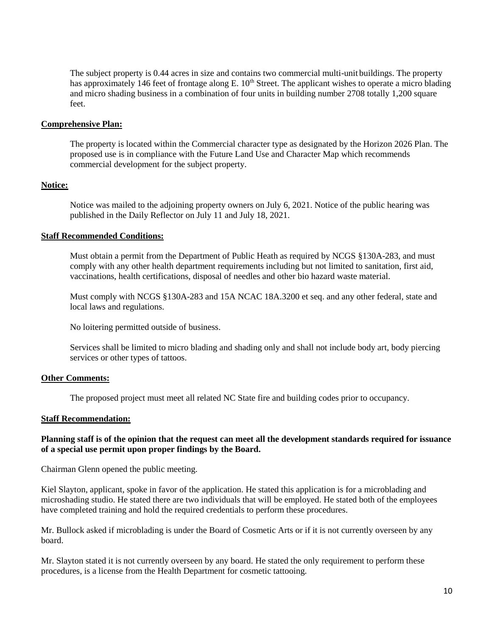The subject property is 0.44 acres in size and contains two commercial multi-unit buildings. The property has approximately 146 feet of frontage along E.  $10<sup>th</sup>$  Street. The applicant wishes to operate a micro blading and micro shading business in a combination of four units in building number 2708 totally 1,200 square feet.

#### **Comprehensive Plan:**

The property is located within the Commercial character type as designated by the Horizon 2026 Plan. The proposed use is in compliance with the Future Land Use and Character Map which recommends commercial development for the subject property.

### **Notice:**

Notice was mailed to the adjoining property owners on July 6, 2021. Notice of the public hearing was published in the Daily Reflector on July 11 and July 18, 2021.

### **Staff Recommended Conditions:**

Must obtain a permit from the Department of Public Heath as required by NCGS §130A-283, and must comply with any other health department requirements including but not limited to sanitation, first aid, vaccinations, health certifications, disposal of needles and other bio hazard waste material.

Must comply with NCGS §130A-283 and 15A NCAC 18A.3200 et seq. and any other federal, state and local laws and regulations.

No loitering permitted outside of business.

Services shall be limited to micro blading and shading only and shall not include body art, body piercing services or other types of tattoos.

### **Other Comments:**

The proposed project must meet all related NC State fire and building codes prior to occupancy.

#### **Staff Recommendation:**

### **Planning staff is of the opinion that the request can meet all the development standards required for issuance of a special use permit upon proper findings by the Board.**

Chairman Glenn opened the public meeting.

Kiel Slayton, applicant, spoke in favor of the application. He stated this application is for a microblading and microshading studio. He stated there are two individuals that will be employed. He stated both of the employees have completed training and hold the required credentials to perform these procedures.

Mr. Bullock asked if microblading is under the Board of Cosmetic Arts or if it is not currently overseen by any board.

Mr. Slayton stated it is not currently overseen by any board. He stated the only requirement to perform these procedures, is a license from the Health Department for cosmetic tattooing.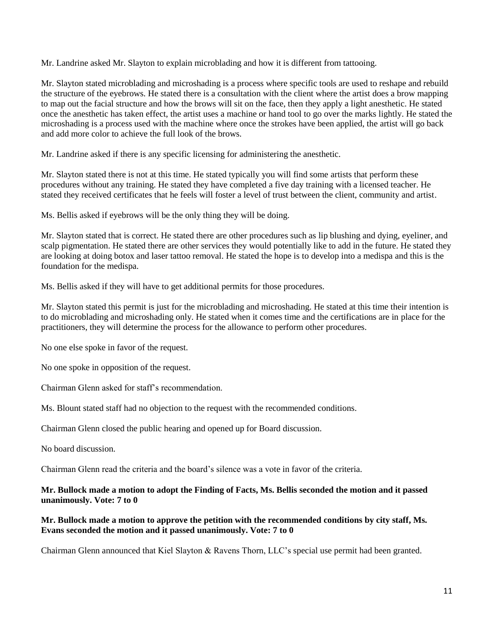Mr. Landrine asked Mr. Slayton to explain microblading and how it is different from tattooing.

Mr. Slayton stated microblading and microshading is a process where specific tools are used to reshape and rebuild the structure of the eyebrows. He stated there is a consultation with the client where the artist does a brow mapping to map out the facial structure and how the brows will sit on the face, then they apply a light anesthetic. He stated once the anesthetic has taken effect, the artist uses a machine or hand tool to go over the marks lightly. He stated the microshading is a process used with the machine where once the strokes have been applied, the artist will go back and add more color to achieve the full look of the brows.

Mr. Landrine asked if there is any specific licensing for administering the anesthetic.

Mr. Slayton stated there is not at this time. He stated typically you will find some artists that perform these procedures without any training. He stated they have completed a five day training with a licensed teacher. He stated they received certificates that he feels will foster a level of trust between the client, community and artist.

Ms. Bellis asked if eyebrows will be the only thing they will be doing.

Mr. Slayton stated that is correct. He stated there are other procedures such as lip blushing and dying, eyeliner, and scalp pigmentation. He stated there are other services they would potentially like to add in the future. He stated they are looking at doing botox and laser tattoo removal. He stated the hope is to develop into a medispa and this is the foundation for the medispa.

Ms. Bellis asked if they will have to get additional permits for those procedures.

Mr. Slayton stated this permit is just for the microblading and microshading. He stated at this time their intention is to do microblading and microshading only. He stated when it comes time and the certifications are in place for the practitioners, they will determine the process for the allowance to perform other procedures.

No one else spoke in favor of the request.

No one spoke in opposition of the request.

Chairman Glenn asked for staff's recommendation.

Ms. Blount stated staff had no objection to the request with the recommended conditions.

Chairman Glenn closed the public hearing and opened up for Board discussion.

No board discussion.

Chairman Glenn read the criteria and the board's silence was a vote in favor of the criteria.

**Mr. Bullock made a motion to adopt the Finding of Facts, Ms. Bellis seconded the motion and it passed unanimously. Vote: 7 to 0**

# **Mr. Bullock made a motion to approve the petition with the recommended conditions by city staff, Ms. Evans seconded the motion and it passed unanimously. Vote: 7 to 0**

Chairman Glenn announced that Kiel Slayton & Ravens Thorn, LLC's special use permit had been granted.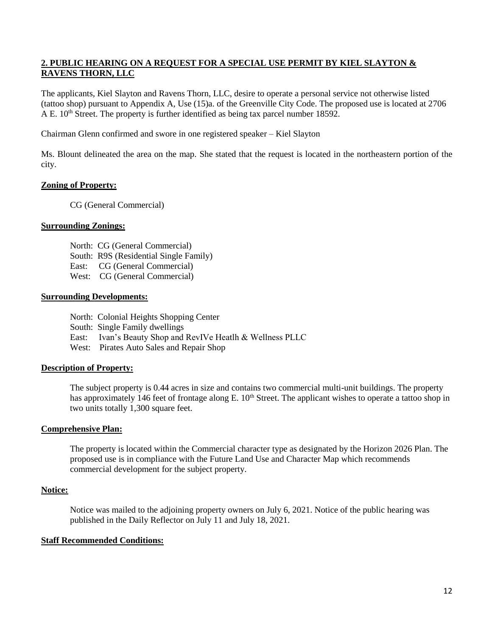# **2. PUBLIC HEARING ON A REQUEST FOR A SPECIAL USE PERMIT BY KIEL SLAYTON & RAVENS THORN, LLC**

The applicants, Kiel Slayton and Ravens Thorn, LLC, desire to operate a personal service not otherwise listed (tattoo shop) pursuant to Appendix A, Use (15)a. of the Greenville City Code. The proposed use is located at 2706 A E. 10<sup>th</sup> Street. The property is further identified as being tax parcel number 18592.

Chairman Glenn confirmed and swore in one registered speaker – Kiel Slayton

Ms. Blount delineated the area on the map. She stated that the request is located in the northeastern portion of the city.

# **Zoning of Property:**

CG (General Commercial)

# **Surrounding Zonings:**

- North: CG (General Commercial)
- South: R9S (Residential Single Family)
- East: CG (General Commercial)
- West: CG (General Commercial)

### **Surrounding Developments:**

- North: Colonial Heights Shopping Center
- South: Single Family dwellings
- East: Ivan's Beauty Shop and RevIVe Heatlh & Wellness PLLC
- West: Pirates Auto Sales and Repair Shop

### **Description of Property:**

The subject property is 0.44 acres in size and contains two commercial multi-unit buildings. The property has approximately 146 feet of frontage along E. 10<sup>th</sup> Street. The applicant wishes to operate a tattoo shop in two units totally 1,300 square feet.

### **Comprehensive Plan:**

The property is located within the Commercial character type as designated by the Horizon 2026 Plan. The proposed use is in compliance with the Future Land Use and Character Map which recommends commercial development for the subject property.

### **Notice:**

Notice was mailed to the adjoining property owners on July 6, 2021. Notice of the public hearing was published in the Daily Reflector on July 11 and July 18, 2021.

### **Staff Recommended Conditions:**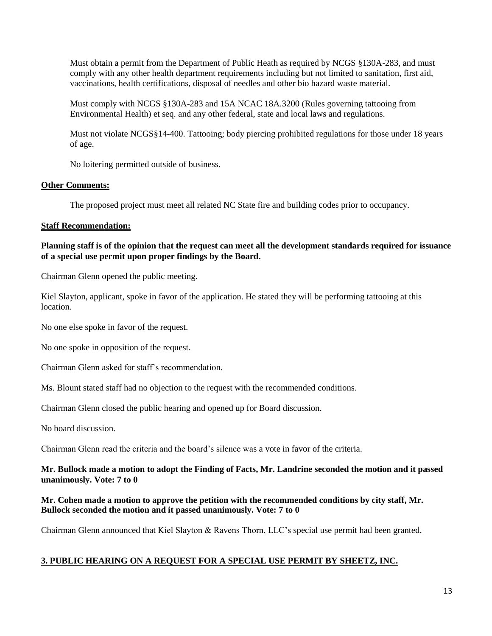Must obtain a permit from the Department of Public Heath as required by NCGS §130A-283, and must comply with any other health department requirements including but not limited to sanitation, first aid, vaccinations, health certifications, disposal of needles and other bio hazard waste material.

Must comply with NCGS §130A-283 and 15A NCAC 18A.3200 (Rules governing tattooing from Environmental Health) et seq. and any other federal, state and local laws and regulations.

Must not violate NCGS§14-400. Tattooing; body piercing prohibited regulations for those under 18 years of age.

No loitering permitted outside of business.

# **Other Comments:**

The proposed project must meet all related NC State fire and building codes prior to occupancy.

# **Staff Recommendation:**

# **Planning staff is of the opinion that the request can meet all the development standards required for issuance of a special use permit upon proper findings by the Board.**

Chairman Glenn opened the public meeting.

Kiel Slayton, applicant, spoke in favor of the application. He stated they will be performing tattooing at this location.

No one else spoke in favor of the request.

No one spoke in opposition of the request.

Chairman Glenn asked for staff's recommendation.

Ms. Blount stated staff had no objection to the request with the recommended conditions.

Chairman Glenn closed the public hearing and opened up for Board discussion.

No board discussion.

Chairman Glenn read the criteria and the board's silence was a vote in favor of the criteria.

# **Mr. Bullock made a motion to adopt the Finding of Facts, Mr. Landrine seconded the motion and it passed unanimously. Vote: 7 to 0**

# **Mr. Cohen made a motion to approve the petition with the recommended conditions by city staff, Mr. Bullock seconded the motion and it passed unanimously. Vote: 7 to 0**

Chairman Glenn announced that Kiel Slayton & Ravens Thorn, LLC's special use permit had been granted.

# **3. PUBLIC HEARING ON A REQUEST FOR A SPECIAL USE PERMIT BY SHEETZ, INC.**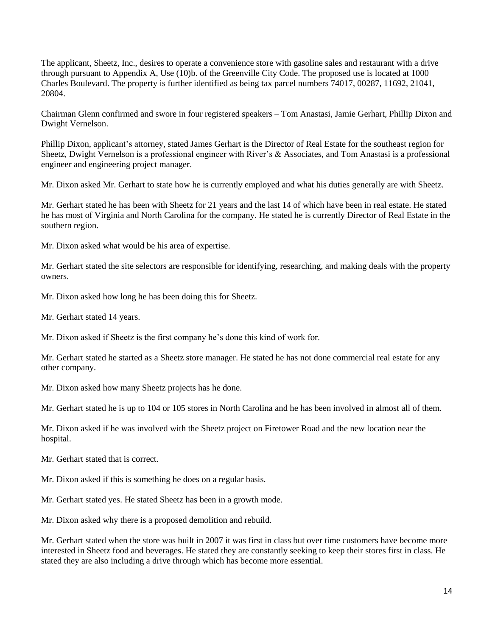The applicant, Sheetz, Inc., desires to operate a convenience store with gasoline sales and restaurant with a drive through pursuant to Appendix A, Use (10)b. of the Greenville City Code. The proposed use is located at 1000 Charles Boulevard. The property is further identified as being tax parcel numbers 74017, 00287, 11692, 21041, 20804.

Chairman Glenn confirmed and swore in four registered speakers – Tom Anastasi, Jamie Gerhart, Phillip Dixon and Dwight Vernelson.

Phillip Dixon, applicant's attorney, stated James Gerhart is the Director of Real Estate for the southeast region for Sheetz, Dwight Vernelson is a professional engineer with River's & Associates, and Tom Anastasi is a professional engineer and engineering project manager.

Mr. Dixon asked Mr. Gerhart to state how he is currently employed and what his duties generally are with Sheetz.

Mr. Gerhart stated he has been with Sheetz for 21 years and the last 14 of which have been in real estate. He stated he has most of Virginia and North Carolina for the company. He stated he is currently Director of Real Estate in the southern region.

Mr. Dixon asked what would be his area of expertise.

Mr. Gerhart stated the site selectors are responsible for identifying, researching, and making deals with the property owners.

Mr. Dixon asked how long he has been doing this for Sheetz.

Mr. Gerhart stated 14 years.

Mr. Dixon asked if Sheetz is the first company he's done this kind of work for.

Mr. Gerhart stated he started as a Sheetz store manager. He stated he has not done commercial real estate for any other company.

Mr. Dixon asked how many Sheetz projects has he done.

Mr. Gerhart stated he is up to 104 or 105 stores in North Carolina and he has been involved in almost all of them.

Mr. Dixon asked if he was involved with the Sheetz project on Firetower Road and the new location near the hospital.

Mr. Gerhart stated that is correct.

Mr. Dixon asked if this is something he does on a regular basis.

Mr. Gerhart stated yes. He stated Sheetz has been in a growth mode.

Mr. Dixon asked why there is a proposed demolition and rebuild.

Mr. Gerhart stated when the store was built in 2007 it was first in class but over time customers have become more interested in Sheetz food and beverages. He stated they are constantly seeking to keep their stores first in class. He stated they are also including a drive through which has become more essential.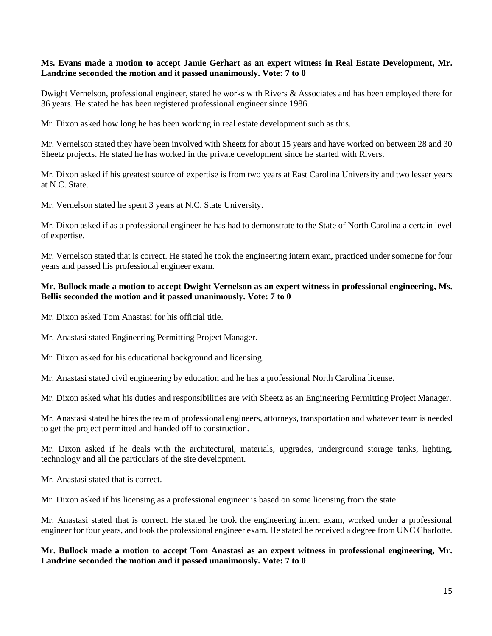### **Ms. Evans made a motion to accept Jamie Gerhart as an expert witness in Real Estate Development, Mr. Landrine seconded the motion and it passed unanimously. Vote: 7 to 0**

Dwight Vernelson, professional engineer, stated he works with Rivers & Associates and has been employed there for 36 years. He stated he has been registered professional engineer since 1986.

Mr. Dixon asked how long he has been working in real estate development such as this.

Mr. Vernelson stated they have been involved with Sheetz for about 15 years and have worked on between 28 and 30 Sheetz projects. He stated he has worked in the private development since he started with Rivers.

Mr. Dixon asked if his greatest source of expertise is from two years at East Carolina University and two lesser years at N.C. State.

Mr. Vernelson stated he spent 3 years at N.C. State University.

Mr. Dixon asked if as a professional engineer he has had to demonstrate to the State of North Carolina a certain level of expertise.

Mr. Vernelson stated that is correct. He stated he took the engineering intern exam, practiced under someone for four years and passed his professional engineer exam.

### **Mr. Bullock made a motion to accept Dwight Vernelson as an expert witness in professional engineering, Ms. Bellis seconded the motion and it passed unanimously. Vote: 7 to 0**

Mr. Dixon asked Tom Anastasi for his official title.

Mr. Anastasi stated Engineering Permitting Project Manager.

Mr. Dixon asked for his educational background and licensing.

Mr. Anastasi stated civil engineering by education and he has a professional North Carolina license.

Mr. Dixon asked what his duties and responsibilities are with Sheetz as an Engineering Permitting Project Manager.

Mr. Anastasi stated he hires the team of professional engineers, attorneys, transportation and whatever team is needed to get the project permitted and handed off to construction.

Mr. Dixon asked if he deals with the architectural, materials, upgrades, underground storage tanks, lighting, technology and all the particulars of the site development.

Mr. Anastasi stated that is correct.

Mr. Dixon asked if his licensing as a professional engineer is based on some licensing from the state.

Mr. Anastasi stated that is correct. He stated he took the engineering intern exam, worked under a professional engineer for four years, and took the professional engineer exam. He stated he received a degree from UNC Charlotte.

**Mr. Bullock made a motion to accept Tom Anastasi as an expert witness in professional engineering, Mr. Landrine seconded the motion and it passed unanimously. Vote: 7 to 0**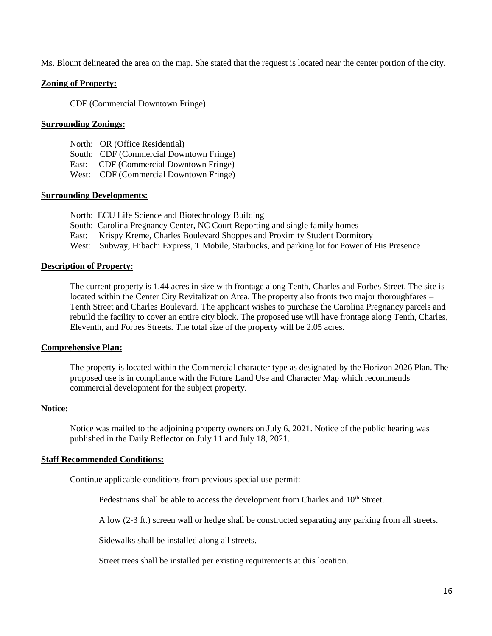Ms. Blount delineated the area on the map. She stated that the request is located near the center portion of the city.

### **Zoning of Property:**

CDF (Commercial Downtown Fringe)

### **Surrounding Zonings:**

- North: OR (Office Residential)
- South: CDF (Commercial Downtown Fringe)
- East: CDF (Commercial Downtown Fringe)
- West: CDF (Commercial Downtown Fringe)

### **Surrounding Developments:**

- North: ECU Life Science and Biotechnology Building
- South: Carolina Pregnancy Center, NC Court Reporting and single family homes
- East: Krispy Kreme, Charles Boulevard Shoppes and Proximity Student Dormitory
- West: Subway, Hibachi Express, T Mobile, Starbucks, and parking lot for Power of His Presence

### **Description of Property:**

The current property is 1.44 acres in size with frontage along Tenth, Charles and Forbes Street. The site is located within the Center City Revitalization Area. The property also fronts two major thoroughfares – Tenth Street and Charles Boulevard. The applicant wishes to purchase the Carolina Pregnancy parcels and rebuild the facility to cover an entire city block. The proposed use will have frontage along Tenth, Charles, Eleventh, and Forbes Streets. The total size of the property will be 2.05 acres.

#### **Comprehensive Plan:**

The property is located within the Commercial character type as designated by the Horizon 2026 Plan. The proposed use is in compliance with the Future Land Use and Character Map which recommends commercial development for the subject property.

#### **Notice:**

Notice was mailed to the adjoining property owners on July 6, 2021. Notice of the public hearing was published in the Daily Reflector on July 11 and July 18, 2021.

### **Staff Recommended Conditions:**

Continue applicable conditions from previous special use permit:

Pedestrians shall be able to access the development from Charles and 10<sup>th</sup> Street.

A low (2-3 ft.) screen wall or hedge shall be constructed separating any parking from all streets.

Sidewalks shall be installed along all streets.

Street trees shall be installed per existing requirements at this location.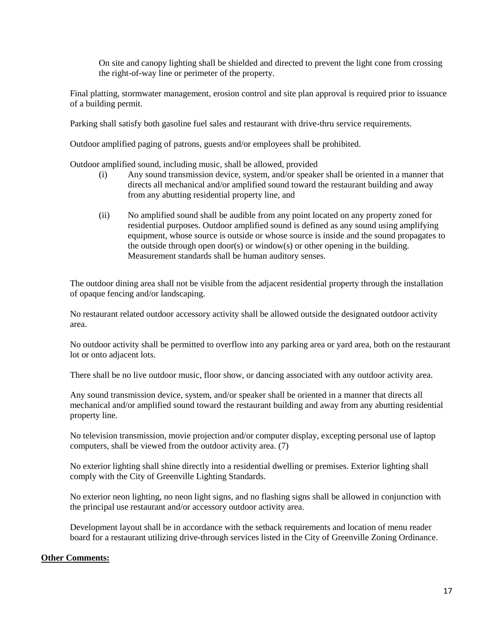On site and canopy lighting shall be shielded and directed to prevent the light cone from crossing the right-of-way line or perimeter of the property.

Final platting, stormwater management, erosion control and site plan approval is required prior to issuance of a building permit.

Parking shall satisfy both gasoline fuel sales and restaurant with drive-thru service requirements.

Outdoor amplified paging of patrons, guests and/or employees shall be prohibited.

Outdoor amplified sound, including music, shall be allowed, provided

- (i) Any sound transmission device, system, and/or speaker shall be oriented in a manner that directs all mechanical and/or amplified sound toward the restaurant building and away from any abutting residential property line, and
- (ii) No amplified sound shall be audible from any point located on any property zoned for residential purposes. Outdoor amplified sound is defined as any sound using amplifying equipment, whose source is outside or whose source is inside and the sound propagates to the outside through open door(s) or window(s) or other opening in the building. Measurement standards shall be human auditory senses.

The outdoor dining area shall not be visible from the adjacent residential property through the installation of opaque fencing and/or landscaping.

No restaurant related outdoor accessory activity shall be allowed outside the designated outdoor activity area.

No outdoor activity shall be permitted to overflow into any parking area or yard area, both on the restaurant lot or onto adjacent lots.

There shall be no live outdoor music, floor show, or dancing associated with any outdoor activity area.

Any sound transmission device, system, and/or speaker shall be oriented in a manner that directs all mechanical and/or amplified sound toward the restaurant building and away from any abutting residential property line.

No television transmission, movie projection and/or computer display, excepting personal use of laptop computers, shall be viewed from the outdoor activity area. (7)

No exterior lighting shall shine directly into a residential dwelling or premises. Exterior lighting shall comply with the City of Greenville Lighting Standards.

No exterior neon lighting, no neon light signs, and no flashing signs shall be allowed in conjunction with the principal use restaurant and/or accessory outdoor activity area.

Development layout shall be in accordance with the setback requirements and location of menu reader board for a restaurant utilizing drive-through services listed in the City of Greenville Zoning Ordinance.

### **Other Comments:**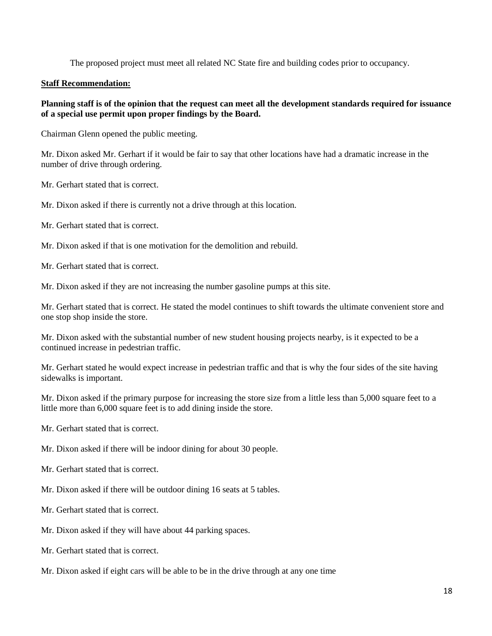The proposed project must meet all related NC State fire and building codes prior to occupancy.

### **Staff Recommendation:**

### **Planning staff is of the opinion that the request can meet all the development standards required for issuance of a special use permit upon proper findings by the Board.**

Chairman Glenn opened the public meeting.

Mr. Dixon asked Mr. Gerhart if it would be fair to say that other locations have had a dramatic increase in the number of drive through ordering.

Mr. Gerhart stated that is correct.

Mr. Dixon asked if there is currently not a drive through at this location.

Mr. Gerhart stated that is correct.

Mr. Dixon asked if that is one motivation for the demolition and rebuild.

Mr. Gerhart stated that is correct.

Mr. Dixon asked if they are not increasing the number gasoline pumps at this site.

Mr. Gerhart stated that is correct. He stated the model continues to shift towards the ultimate convenient store and one stop shop inside the store.

Mr. Dixon asked with the substantial number of new student housing projects nearby, is it expected to be a continued increase in pedestrian traffic.

Mr. Gerhart stated he would expect increase in pedestrian traffic and that is why the four sides of the site having sidewalks is important.

Mr. Dixon asked if the primary purpose for increasing the store size from a little less than 5,000 square feet to a little more than 6,000 square feet is to add dining inside the store.

Mr. Gerhart stated that is correct.

Mr. Dixon asked if there will be indoor dining for about 30 people.

Mr. Gerhart stated that is correct.

Mr. Dixon asked if there will be outdoor dining 16 seats at 5 tables.

Mr. Gerhart stated that is correct.

Mr. Dixon asked if they will have about 44 parking spaces.

Mr. Gerhart stated that is correct.

Mr. Dixon asked if eight cars will be able to be in the drive through at any one time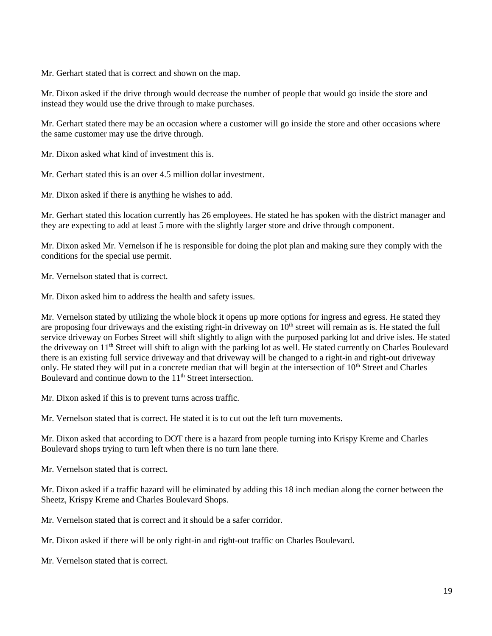Mr. Gerhart stated that is correct and shown on the map.

Mr. Dixon asked if the drive through would decrease the number of people that would go inside the store and instead they would use the drive through to make purchases.

Mr. Gerhart stated there may be an occasion where a customer will go inside the store and other occasions where the same customer may use the drive through.

Mr. Dixon asked what kind of investment this is.

Mr. Gerhart stated this is an over 4.5 million dollar investment.

Mr. Dixon asked if there is anything he wishes to add.

Mr. Gerhart stated this location currently has 26 employees. He stated he has spoken with the district manager and they are expecting to add at least 5 more with the slightly larger store and drive through component.

Mr. Dixon asked Mr. Vernelson if he is responsible for doing the plot plan and making sure they comply with the conditions for the special use permit.

Mr. Vernelson stated that is correct.

Mr. Dixon asked him to address the health and safety issues.

Mr. Vernelson stated by utilizing the whole block it opens up more options for ingress and egress. He stated they are proposing four driveways and the existing right-in driveway on  $10<sup>th</sup>$  street will remain as is. He stated the full service driveway on Forbes Street will shift slightly to align with the purposed parking lot and drive isles. He stated the driveway on 11<sup>th</sup> Street will shift to align with the parking lot as well. He stated currently on Charles Boulevard there is an existing full service driveway and that driveway will be changed to a right-in and right-out driveway only. He stated they will put in a concrete median that will begin at the intersection of 10<sup>th</sup> Street and Charles Boulevard and continue down to the 11<sup>th</sup> Street intersection.

Mr. Dixon asked if this is to prevent turns across traffic.

Mr. Vernelson stated that is correct. He stated it is to cut out the left turn movements.

Mr. Dixon asked that according to DOT there is a hazard from people turning into Krispy Kreme and Charles Boulevard shops trying to turn left when there is no turn lane there.

Mr. Vernelson stated that is correct.

Mr. Dixon asked if a traffic hazard will be eliminated by adding this 18 inch median along the corner between the Sheetz, Krispy Kreme and Charles Boulevard Shops.

Mr. Vernelson stated that is correct and it should be a safer corridor.

Mr. Dixon asked if there will be only right-in and right-out traffic on Charles Boulevard.

Mr. Vernelson stated that is correct.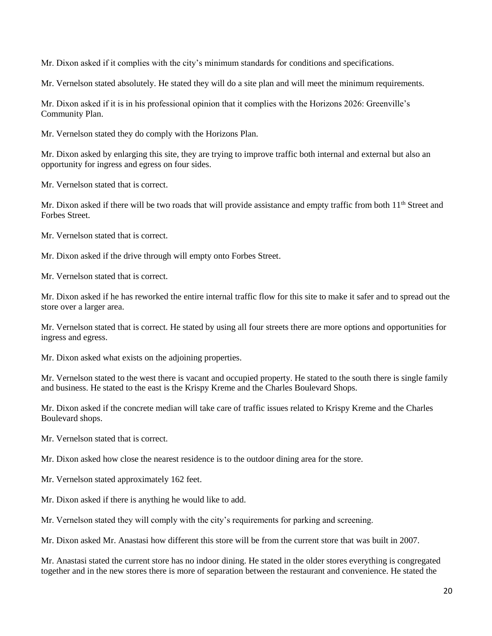Mr. Dixon asked if it complies with the city's minimum standards for conditions and specifications.

Mr. Vernelson stated absolutely. He stated they will do a site plan and will meet the minimum requirements.

Mr. Dixon asked if it is in his professional opinion that it complies with the Horizons 2026: Greenville's Community Plan.

Mr. Vernelson stated they do comply with the Horizons Plan.

Mr. Dixon asked by enlarging this site, they are trying to improve traffic both internal and external but also an opportunity for ingress and egress on four sides.

Mr. Vernelson stated that is correct.

Mr. Dixon asked if there will be two roads that will provide assistance and empty traffic from both  $11<sup>th</sup>$  Street and Forbes Street.

Mr. Vernelson stated that is correct.

Mr. Dixon asked if the drive through will empty onto Forbes Street.

Mr. Vernelson stated that is correct.

Mr. Dixon asked if he has reworked the entire internal traffic flow for this site to make it safer and to spread out the store over a larger area.

Mr. Vernelson stated that is correct. He stated by using all four streets there are more options and opportunities for ingress and egress.

Mr. Dixon asked what exists on the adjoining properties.

Mr. Vernelson stated to the west there is vacant and occupied property. He stated to the south there is single family and business. He stated to the east is the Krispy Kreme and the Charles Boulevard Shops.

Mr. Dixon asked if the concrete median will take care of traffic issues related to Krispy Kreme and the Charles Boulevard shops.

Mr. Vernelson stated that is correct.

Mr. Dixon asked how close the nearest residence is to the outdoor dining area for the store.

Mr. Vernelson stated approximately 162 feet.

Mr. Dixon asked if there is anything he would like to add.

Mr. Vernelson stated they will comply with the city's requirements for parking and screening.

Mr. Dixon asked Mr. Anastasi how different this store will be from the current store that was built in 2007.

Mr. Anastasi stated the current store has no indoor dining. He stated in the older stores everything is congregated together and in the new stores there is more of separation between the restaurant and convenience. He stated the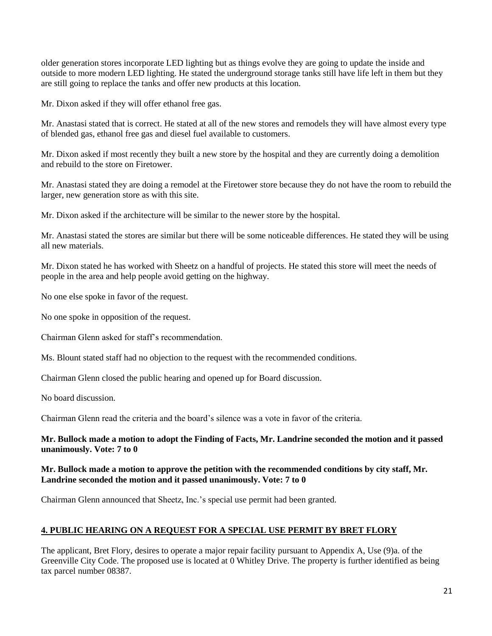older generation stores incorporate LED lighting but as things evolve they are going to update the inside and outside to more modern LED lighting. He stated the underground storage tanks still have life left in them but they are still going to replace the tanks and offer new products at this location.

Mr. Dixon asked if they will offer ethanol free gas.

Mr. Anastasi stated that is correct. He stated at all of the new stores and remodels they will have almost every type of blended gas, ethanol free gas and diesel fuel available to customers.

Mr. Dixon asked if most recently they built a new store by the hospital and they are currently doing a demolition and rebuild to the store on Firetower.

Mr. Anastasi stated they are doing a remodel at the Firetower store because they do not have the room to rebuild the larger, new generation store as with this site.

Mr. Dixon asked if the architecture will be similar to the newer store by the hospital.

Mr. Anastasi stated the stores are similar but there will be some noticeable differences. He stated they will be using all new materials.

Mr. Dixon stated he has worked with Sheetz on a handful of projects. He stated this store will meet the needs of people in the area and help people avoid getting on the highway.

No one else spoke in favor of the request.

No one spoke in opposition of the request.

Chairman Glenn asked for staff's recommendation.

Ms. Blount stated staff had no objection to the request with the recommended conditions.

Chairman Glenn closed the public hearing and opened up for Board discussion.

No board discussion.

Chairman Glenn read the criteria and the board's silence was a vote in favor of the criteria.

# **Mr. Bullock made a motion to adopt the Finding of Facts, Mr. Landrine seconded the motion and it passed unanimously. Vote: 7 to 0**

# **Mr. Bullock made a motion to approve the petition with the recommended conditions by city staff, Mr. Landrine seconded the motion and it passed unanimously. Vote: 7 to 0**

Chairman Glenn announced that Sheetz, Inc.'s special use permit had been granted.

# **4. PUBLIC HEARING ON A REQUEST FOR A SPECIAL USE PERMIT BY BRET FLORY**

The applicant, Bret Flory, desires to operate a major repair facility pursuant to Appendix A, Use (9)a. of the Greenville City Code. The proposed use is located at 0 Whitley Drive. The property is further identified as being tax parcel number 08387.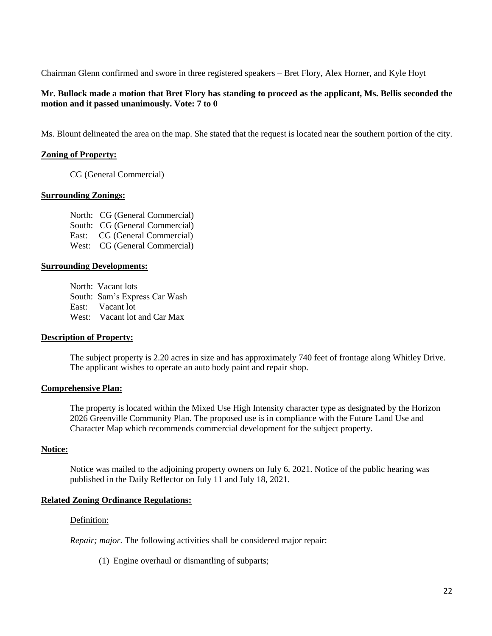Chairman Glenn confirmed and swore in three registered speakers – Bret Flory, Alex Horner, and Kyle Hoyt

# **Mr. Bullock made a motion that Bret Flory has standing to proceed as the applicant, Ms. Bellis seconded the motion and it passed unanimously. Vote: 7 to 0**

Ms. Blount delineated the area on the map. She stated that the request is located near the southern portion of the city.

### **Zoning of Property:**

CG (General Commercial)

#### **Surrounding Zonings:**

North: CG (General Commercial) South: CG (General Commercial) East: CG (General Commercial) West: CG (General Commercial)

#### **Surrounding Developments:**

North: Vacant lots South: Sam's Express Car Wash East: Vacant lot West: Vacant lot and Car Max

#### **Description of Property:**

The subject property is 2.20 acres in size and has approximately 740 feet of frontage along Whitley Drive. The applicant wishes to operate an auto body paint and repair shop.

#### **Comprehensive Plan:**

The property is located within the Mixed Use High Intensity character type as designated by the Horizon 2026 Greenville Community Plan. The proposed use is in compliance with the Future Land Use and Character Map which recommends commercial development for the subject property.

#### **Notice:**

Notice was mailed to the adjoining property owners on July 6, 2021. Notice of the public hearing was published in the Daily Reflector on July 11 and July 18, 2021.

#### **Related Zoning Ordinance Regulations:**

#### Definition:

*Repair; major.* The following activities shall be considered major repair:

(1) Engine overhaul or dismantling of subparts;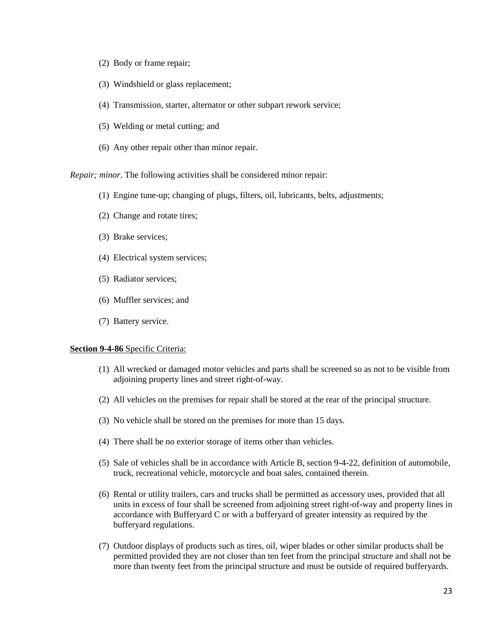- (2) Body or frame repair;
- (3) Windshield or glass replacement;
- (4) Transmission, starter, alternator or other subpart rework service;
- (5) Welding or metal cutting; and
- (6) Any other repair other than minor repair.

*Repair; minor*. The following activities shall be considered minor repair:

- (1) Engine tune-up; changing of plugs, filters, oil, lubricants, belts, adjustments;
- (2) Change and rotate tires;
- (3) Brake services;
- (4) Electrical system services;
- (5) Radiator services;
- (6) Muffler services; and
- (7) Battery service.

#### **Section 9-4-86** Specific Criteria:

- (1) All wrecked or damaged motor vehicles and parts shall be screened so as not to be visible from adjoining property lines and street right-of-way.
- (2) All vehicles on the premises for repair shall be stored at the rear of the principal structure.
- (3) No vehicle shall be stored on the premises for more than 15 days.
- (4) There shall be no exterior storage of items other than vehicles.
- (5) Sale of vehicles shall be in accordance with Article B, section 9-4-22, definition of automobile, truck, recreational vehicle, motorcycle and boat sales, contained therein.
- (6) Rental or utility trailers, cars and trucks shall be permitted as accessory uses, provided that all units in excess of four shall be screened from adjoining street right-of-way and property lines in accordance with Bufferyard C or with a bufferyard of greater intensity as required by the bufferyard regulations.
- (7) Outdoor displays of products such as tires, oil, wiper blades or other similar products shall be permitted provided they are not closer than ten feet from the principal structure and shall not be more than twenty feet from the principal structure and must be outside of required bufferyards.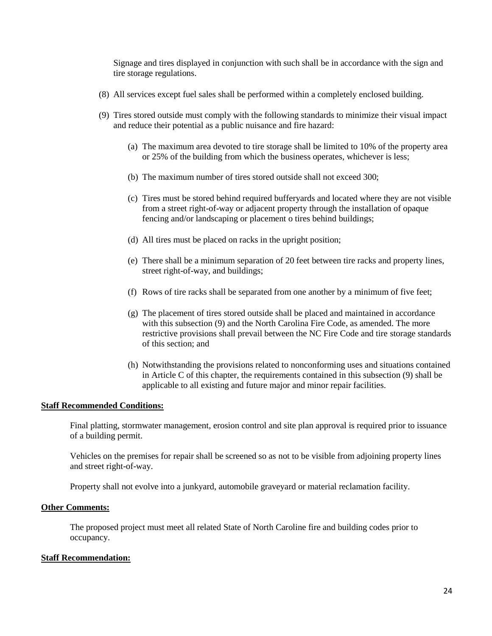Signage and tires displayed in conjunction with such shall be in accordance with the sign and tire storage regulations.

- (8) All services except fuel sales shall be performed within a completely enclosed building.
- (9) Tires stored outside must comply with the following standards to minimize their visual impact and reduce their potential as a public nuisance and fire hazard:
	- (a) The maximum area devoted to tire storage shall be limited to 10% of the property area or 25% of the building from which the business operates, whichever is less;
	- (b) The maximum number of tires stored outside shall not exceed 300;
	- (c) Tires must be stored behind required bufferyards and located where they are not visible from a street right-of-way or adjacent property through the installation of opaque fencing and/or landscaping or placement o tires behind buildings;
	- (d) All tires must be placed on racks in the upright position;
	- (e) There shall be a minimum separation of 20 feet between tire racks and property lines, street right-of-way, and buildings;
	- (f) Rows of tire racks shall be separated from one another by a minimum of five feet;
	- (g) The placement of tires stored outside shall be placed and maintained in accordance with this subsection (9) and the North Carolina Fire Code, as amended. The more restrictive provisions shall prevail between the NC Fire Code and tire storage standards of this section; and
	- (h) Notwithstanding the provisions related to nonconforming uses and situations contained in Article C of this chapter, the requirements contained in this subsection (9) shall be applicable to all existing and future major and minor repair facilities.

#### **Staff Recommended Conditions:**

Final platting, stormwater management, erosion control and site plan approval is required prior to issuance of a building permit.

Vehicles on the premises for repair shall be screened so as not to be visible from adjoining property lines and street right-of-way.

Property shall not evolve into a junkyard, automobile graveyard or material reclamation facility.

#### **Other Comments:**

The proposed project must meet all related State of North Caroline fire and building codes prior to occupancy.

#### **Staff Recommendation:**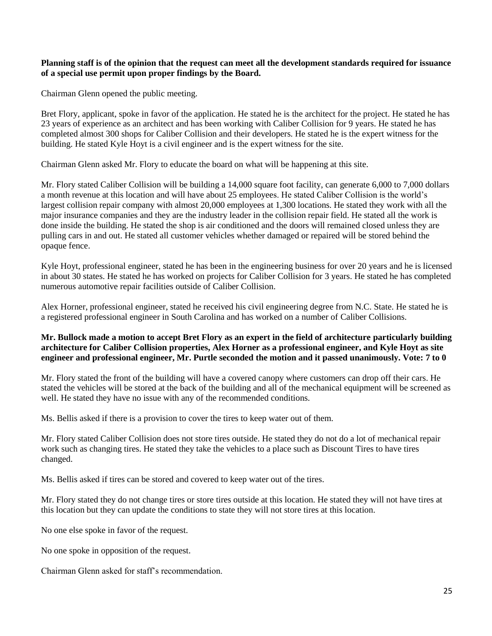### **Planning staff is of the opinion that the request can meet all the development standards required for issuance of a special use permit upon proper findings by the Board.**

Chairman Glenn opened the public meeting.

Bret Flory, applicant, spoke in favor of the application. He stated he is the architect for the project. He stated he has 23 years of experience as an architect and has been working with Caliber Collision for 9 years. He stated he has completed almost 300 shops for Caliber Collision and their developers. He stated he is the expert witness for the building. He stated Kyle Hoyt is a civil engineer and is the expert witness for the site.

Chairman Glenn asked Mr. Flory to educate the board on what will be happening at this site.

Mr. Flory stated Caliber Collision will be building a 14,000 square foot facility, can generate 6,000 to 7,000 dollars a month revenue at this location and will have about 25 employees. He stated Caliber Collision is the world's largest collision repair company with almost 20,000 employees at 1,300 locations. He stated they work with all the major insurance companies and they are the industry leader in the collision repair field. He stated all the work is done inside the building. He stated the shop is air conditioned and the doors will remained closed unless they are pulling cars in and out. He stated all customer vehicles whether damaged or repaired will be stored behind the opaque fence.

Kyle Hoyt, professional engineer, stated he has been in the engineering business for over 20 years and he is licensed in about 30 states. He stated he has worked on projects for Caliber Collision for 3 years. He stated he has completed numerous automotive repair facilities outside of Caliber Collision.

Alex Horner, professional engineer, stated he received his civil engineering degree from N.C. State. He stated he is a registered professional engineer in South Carolina and has worked on a number of Caliber Collisions.

## **Mr. Bullock made a motion to accept Bret Flory as an expert in the field of architecture particularly building architecture for Caliber Collision properties, Alex Horner as a professional engineer, and Kyle Hoyt as site engineer and professional engineer, Mr. Purtle seconded the motion and it passed unanimously. Vote: 7 to 0**

Mr. Flory stated the front of the building will have a covered canopy where customers can drop off their cars. He stated the vehicles will be stored at the back of the building and all of the mechanical equipment will be screened as well. He stated they have no issue with any of the recommended conditions.

Ms. Bellis asked if there is a provision to cover the tires to keep water out of them.

Mr. Flory stated Caliber Collision does not store tires outside. He stated they do not do a lot of mechanical repair work such as changing tires. He stated they take the vehicles to a place such as Discount Tires to have tires changed.

Ms. Bellis asked if tires can be stored and covered to keep water out of the tires.

Mr. Flory stated they do not change tires or store tires outside at this location. He stated they will not have tires at this location but they can update the conditions to state they will not store tires at this location.

No one else spoke in favor of the request.

No one spoke in opposition of the request.

Chairman Glenn asked for staff's recommendation.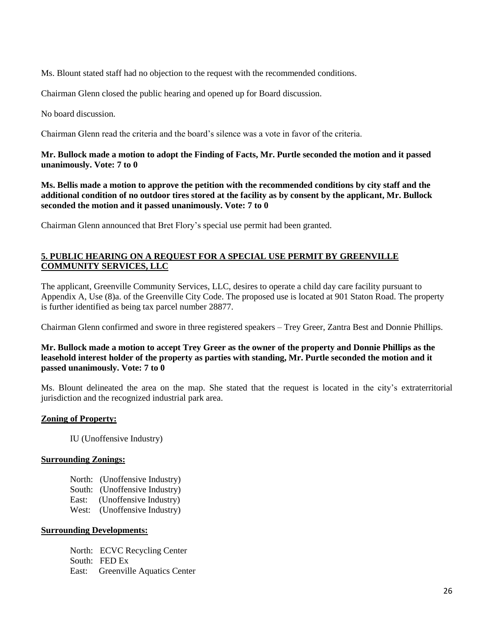Ms. Blount stated staff had no objection to the request with the recommended conditions.

Chairman Glenn closed the public hearing and opened up for Board discussion.

No board discussion.

Chairman Glenn read the criteria and the board's silence was a vote in favor of the criteria.

# **Mr. Bullock made a motion to adopt the Finding of Facts, Mr. Purtle seconded the motion and it passed unanimously. Vote: 7 to 0**

**Ms. Bellis made a motion to approve the petition with the recommended conditions by city staff and the additional condition of no outdoor tires stored at the facility as by consent by the applicant, Mr. Bullock seconded the motion and it passed unanimously. Vote: 7 to 0**

Chairman Glenn announced that Bret Flory's special use permit had been granted.

# **5. PUBLIC HEARING ON A REQUEST FOR A SPECIAL USE PERMIT BY GREENVILLE COMMUNITY SERVICES, LLC**

The applicant, Greenville Community Services, LLC, desires to operate a child day care facility pursuant to Appendix A, Use (8)a. of the Greenville City Code. The proposed use is located at 901 Staton Road. The property is further identified as being tax parcel number 28877.

Chairman Glenn confirmed and swore in three registered speakers – Trey Greer, Zantra Best and Donnie Phillips.

## **Mr. Bullock made a motion to accept Trey Greer as the owner of the property and Donnie Phillips as the leasehold interest holder of the property as parties with standing, Mr. Purtle seconded the motion and it passed unanimously. Vote: 7 to 0**

Ms. Blount delineated the area on the map. She stated that the request is located in the city's extraterritorial jurisdiction and the recognized industrial park area.

# **Zoning of Property:**

IU (Unoffensive Industry)

### **Surrounding Zonings:**

North: (Unoffensive Industry) South: (Unoffensive Industry) East: (Unoffensive Industry) West: (Unoffensive Industry)

### **Surrounding Developments:**

North: ECVC Recycling Center South: FED Ex East: Greenville Aquatics Center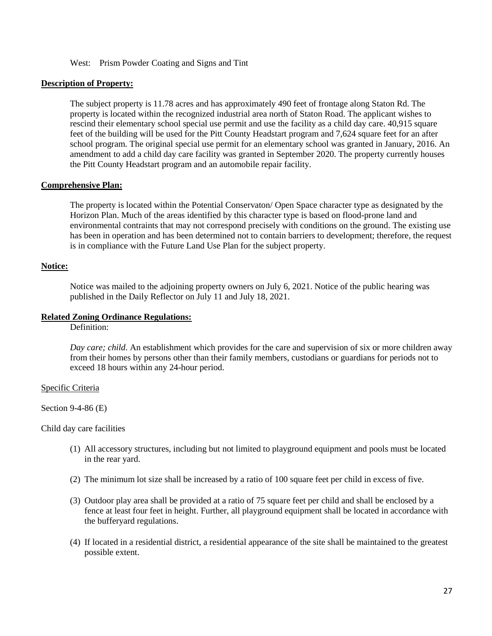#### West: Prism Powder Coating and Signs and Tint

# **Description of Property:**

The subject property is 11.78 acres and has approximately 490 feet of frontage along Staton Rd. The property is located within the recognized industrial area north of Staton Road. The applicant wishes to rescind their elementary school special use permit and use the facility as a child day care. 40,915 square feet of the building will be used for the Pitt County Headstart program and 7,624 square feet for an after school program. The original special use permit for an elementary school was granted in January, 2016. An amendment to add a child day care facility was granted in September 2020. The property currently houses the Pitt County Headstart program and an automobile repair facility.

### **Comprehensive Plan:**

The property is located within the Potential Conservaton/ Open Space character type as designated by the Horizon Plan. Much of the areas identified by this character type is based on flood-prone land and environmental contraints that may not correspond precisely with conditions on the ground. The existing use has been in operation and has been determined not to contain barriers to development; therefore, the request is in compliance with the Future Land Use Plan for the subject property.

### **Notice:**

Notice was mailed to the adjoining property owners on July 6, 2021. Notice of the public hearing was published in the Daily Reflector on July 11 and July 18, 2021.

#### **Related Zoning Ordinance Regulations:**

Definition:

*Day care; child*. An establishment which provides for the care and supervision of six or more children away from their homes by persons other than their family members, custodians or guardians for periods not to exceed 18 hours within any 24-hour period.

#### Specific Criteria

Section 9-4-86 (E)

Child day care facilities

- (1) All accessory structures, including but not limited to playground equipment and pools must be located in the rear yard.
- (2) The minimum lot size shall be increased by a ratio of 100 square feet per child in excess of five.
- (3) Outdoor play area shall be provided at a ratio of 75 square feet per child and shall be enclosed by a fence at least four feet in height. Further, all playground equipment shall be located in accordance with the bufferyard regulations.
- (4) If located in a residential district, a residential appearance of the site shall be maintained to the greatest possible extent.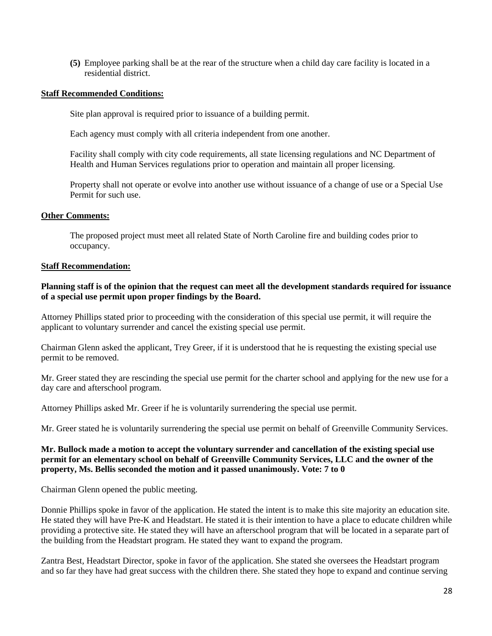**(5)** Employee parking shall be at the rear of the structure when a child day care facility is located in a residential district.

### **Staff Recommended Conditions:**

Site plan approval is required prior to issuance of a building permit.

Each agency must comply with all criteria independent from one another.

Facility shall comply with city code requirements, all state licensing regulations and NC Department of Health and Human Services regulations prior to operation and maintain all proper licensing.

Property shall not operate or evolve into another use without issuance of a change of use or a Special Use Permit for such use.

### **Other Comments:**

The proposed project must meet all related State of North Caroline fire and building codes prior to occupancy.

### **Staff Recommendation:**

### **Planning staff is of the opinion that the request can meet all the development standards required for issuance of a special use permit upon proper findings by the Board.**

Attorney Phillips stated prior to proceeding with the consideration of this special use permit, it will require the applicant to voluntary surrender and cancel the existing special use permit.

Chairman Glenn asked the applicant, Trey Greer, if it is understood that he is requesting the existing special use permit to be removed.

Mr. Greer stated they are rescinding the special use permit for the charter school and applying for the new use for a day care and afterschool program.

Attorney Phillips asked Mr. Greer if he is voluntarily surrendering the special use permit.

Mr. Greer stated he is voluntarily surrendering the special use permit on behalf of Greenville Community Services.

## **Mr. Bullock made a motion to accept the voluntary surrender and cancellation of the existing special use permit for an elementary school on behalf of Greenville Community Services, LLC and the owner of the property, Ms. Bellis seconded the motion and it passed unanimously. Vote: 7 to 0**

Chairman Glenn opened the public meeting.

Donnie Phillips spoke in favor of the application. He stated the intent is to make this site majority an education site. He stated they will have Pre-K and Headstart. He stated it is their intention to have a place to educate children while providing a protective site. He stated they will have an afterschool program that will be located in a separate part of the building from the Headstart program. He stated they want to expand the program.

Zantra Best, Headstart Director, spoke in favor of the application. She stated she oversees the Headstart program and so far they have had great success with the children there. She stated they hope to expand and continue serving